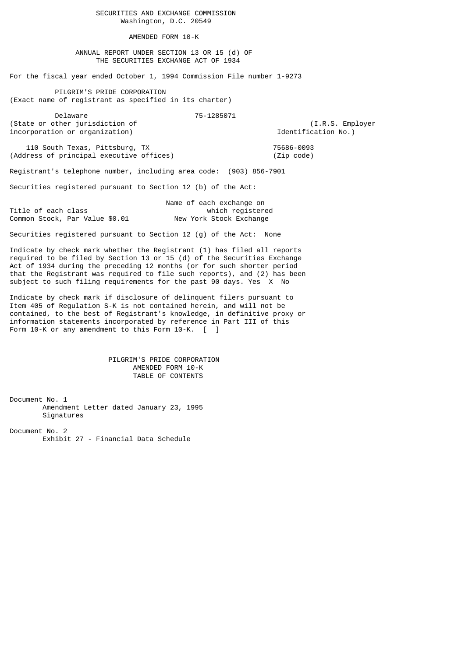SECURITIES AND EXCHANGE COMMISSION Washington, D.C. 20549

AMENDED FORM 10-K

 ANNUAL REPORT UNDER SECTION 13 OR 15 (d) OF THE SECURITIES EXCHANGE ACT OF 1934

For the fiscal year ended October 1, 1994 Commission File number 1-9273

 PILGRIM'S PRIDE CORPORATION (Exact name of registrant as specified in its charter)

 Delaware 75-1285071 (State or other jurisdiction of  $(1.R.S.$  Employer<br>incorporation or organization)  $\qquad \qquad$  Identification No.)  $incorporation$  or  $organization$ )

110 South Texas, Pittsburg, TX 75686-0093 (Address of principal executive offices) (Zip code)

Registrant's telephone number, including area code: (903) 856-7901

Securities registered pursuant to Section 12 (b) of the Act:

|                     |                                | Name of each exchange on |
|---------------------|--------------------------------|--------------------------|
| Title of each class |                                | which registered         |
|                     | Common Stock, Par Value \$0.01 | New York Stock Exchange  |

Securities registered pursuant to Section 12 (g) of the Act: None

Indicate by check mark whether the Registrant (1) has filed all reports required to be filed by Section 13 or 15 (d) of the Securities Exchange Act of 1934 during the preceding 12 months (or for such shorter period that the Registrant was required to file such reports), and (2) has been subject to such filing requirements for the past 90 days. Yes X No

Indicate by check mark if disclosure of delinquent filers pursuant to Item 405 of Regulation S-K is not contained herein, and will not be contained, to the best of Registrant's knowledge, in definitive proxy or information statements incorporated by reference in Part III of this Form 10-K or any amendment to this Form 10-K. [ ]

> PILGRIM'S PRIDE CORPORATION AMENDED FORM 10-K TABLE OF CONTENTS

Document No. 1 Amendment Letter dated January 23, 1995 Signatures

Document No. 2 Exhibit 27 - Financial Data Schedule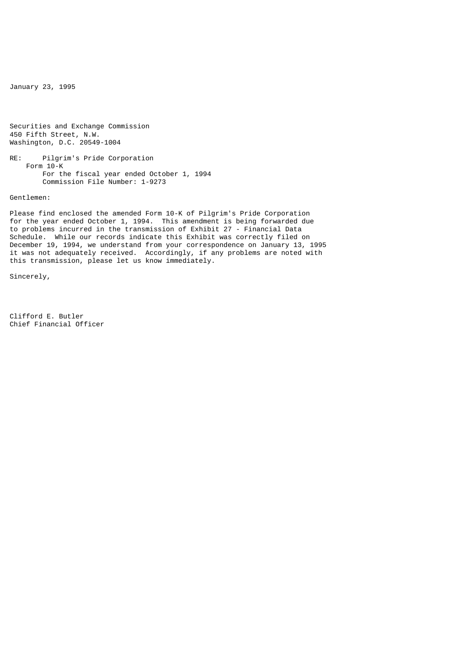January 23, 1995

Securities and Exchange Commission 450 Fifth Street, N.W. Washington, D.C. 20549-1004

RE: Pilgrim's Pride Corporation Form 10-K For the fiscal year ended October 1, 1994 Commission File Number: 1-9273

Gentlemen:

Please find enclosed the amended Form 10-K of Pilgrim's Pride Corporation for the year ended October 1, 1994. This amendment is being forwarded due to problems incurred in the transmission of Exhibit 27 - Financial Data Schedule. While our records indicate this Exhibit was correctly filed on December 19, 1994, we understand from your correspondence on January 13, 1995 it was not adequately received. Accordingly, if any problems are noted with this transmission, please let us know immediately.

Sincerely,

Clifford E. Butler Chief Financial Officer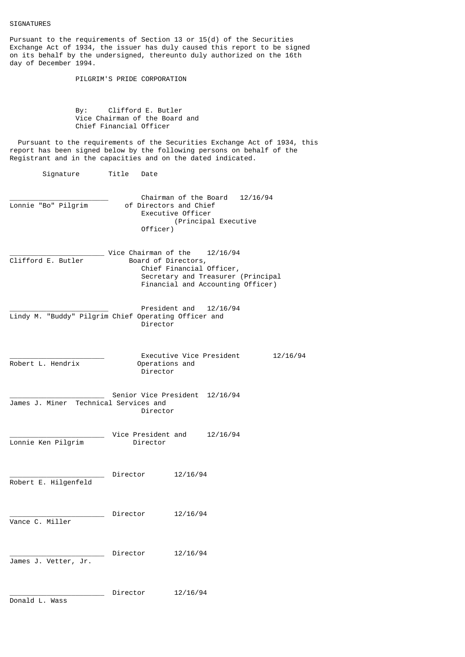| Pursuant to the requirements of Section 13 or 15(d) of the Securities<br>Exchange Act of 1934, the issuer has duly caused this report to be signed<br>on its behalf by the undersigned, thereunto duly authorized on the 16th<br>day of December 1994. |  |
|--------------------------------------------------------------------------------------------------------------------------------------------------------------------------------------------------------------------------------------------------------|--|
| PILGRIM'S PRIDE CORPORATION                                                                                                                                                                                                                            |  |
| Clifford E. Butler<br>By: and the set of the set of the set of the set of the set of the set of the set of the set of the set of the<br>Vice Chairman of the Board and<br>Chief Financial Officer                                                      |  |
| Pursuant to the requirements of the Securities Exchange Act of 1934, this<br>report has been signed below by the following persons on behalf of the<br>Registrant and in the capacities and on the dated indicated.                                    |  |
| Signature<br>Title<br>Date                                                                                                                                                                                                                             |  |
| Chairman of the Board<br>12/16/94<br>Lonnie "Bo" Pilgrim<br>of Directors and Chief<br>Executive Officer<br>(Principal Executive<br>Officer)                                                                                                            |  |
| Vice Chairman of the<br>12/16/94<br>Clifford E. Butler<br>Board of Directors,<br>Chief Financial Officer,<br>Secretary and Treasurer (Principal<br>Financial and Accounting Officer)                                                                   |  |
| President and<br>12/16/94<br>Lindy M. "Buddy" Pilgrim Chief Operating Officer and<br>Director                                                                                                                                                          |  |
| Executive Vice President<br>12/16/94<br>Robert L. Hendrix<br>Operations and<br>Director                                                                                                                                                                |  |
| Senior Vice President 12/16/94<br>Technical Services and<br>James J. Miner<br>Director                                                                                                                                                                 |  |
| Vice President and<br>12/16/94<br>Lonnie Ken Pilgrim<br>Director                                                                                                                                                                                       |  |
| Director<br>12/16/94<br>Robert E. Hilgenfeld                                                                                                                                                                                                           |  |
| Director<br>12/16/94<br>Vance C. Miller                                                                                                                                                                                                                |  |
| Director<br>12/16/94<br>James J. Vetter, Jr.                                                                                                                                                                                                           |  |
| Director<br>12/16/94<br>Donald L. Wass                                                                                                                                                                                                                 |  |